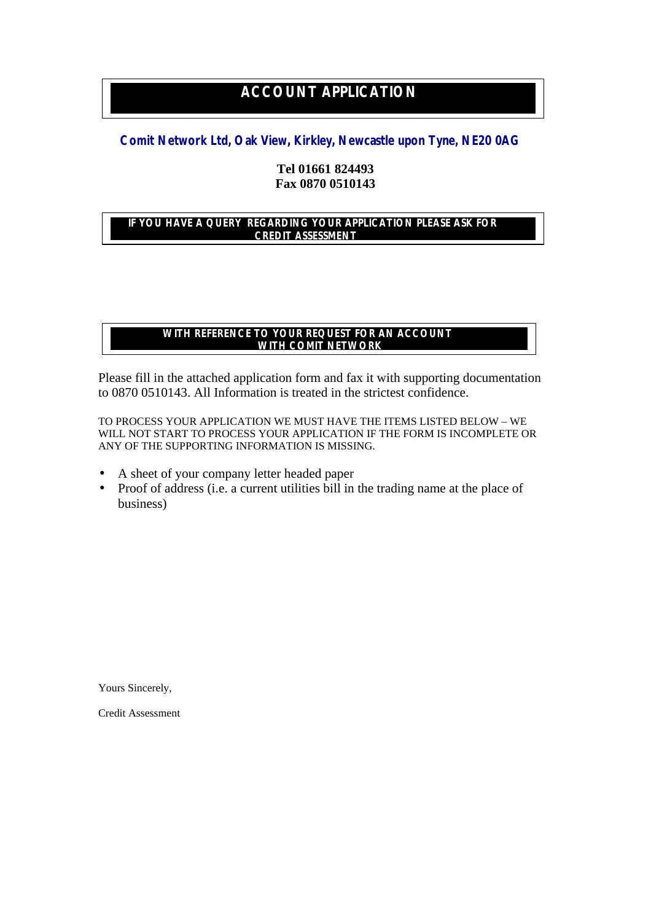## **ACCOUNT APPLICATION**

## **Comit Network Ltd, Oak View, Kirkley, Newcastle upon Tyne, NE20 0AG**

## **Tel 01661 824493 Fax 0870 0510143**

## **IF YOU HAVE A QUERY REGARDING YOUR APPLICATION PLEASE ASK FOR CREDIT ASSESSMENT**

## **WITH REFERENCE TO YOUR REQUEST FOR AN ACCOUNT WITH COMIT NETWORK**

Please fill in the attached application form and fax it with supporting documentation to 0870 0510143. All Information is treated in the strictest confidence.

TO PROCESS YOUR APPLICATION WE MUST HAVE THE ITEMS LISTED BELOW – WE WILL NOT START TO PROCESS YOUR APPLICATION IF THE FORM IS INCOMPLETE OR ANY OF THE SUPPORTING INFORMATION IS MISSING.

- A sheet of your company letter headed paper
- Proof of address (i.e. a current utilities bill in the trading name at the place of business)

Yours Sincerely,

Credit Assessment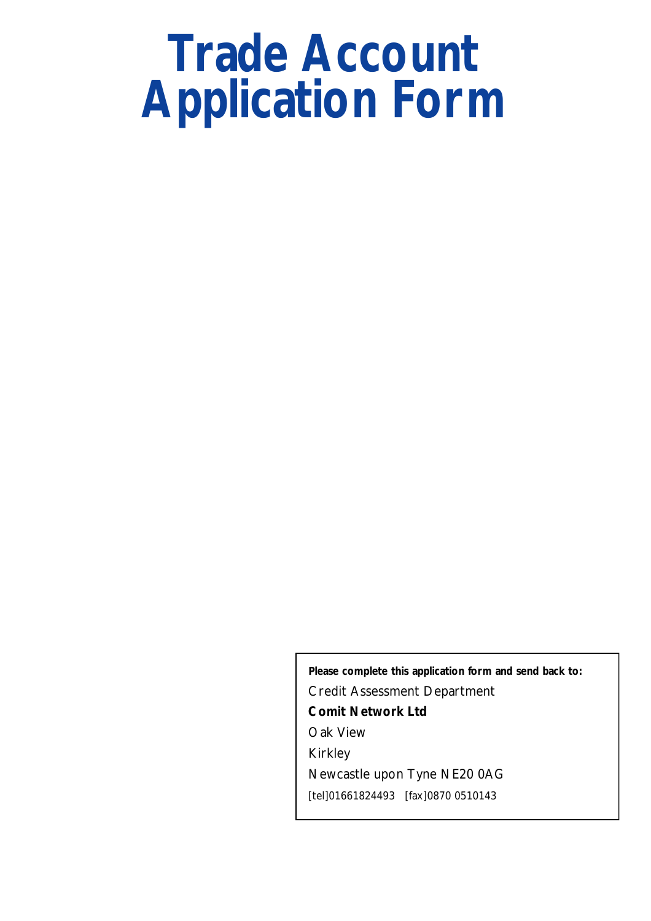# **Trade Account Application Form**

**Please complete this application form and send back to:** Credit Assessment Department **Comit Network Ltd** Oak View Kirkley Newcastle upon Tyne NE20 0AG [tel]01661824493 [fax]0870 0510143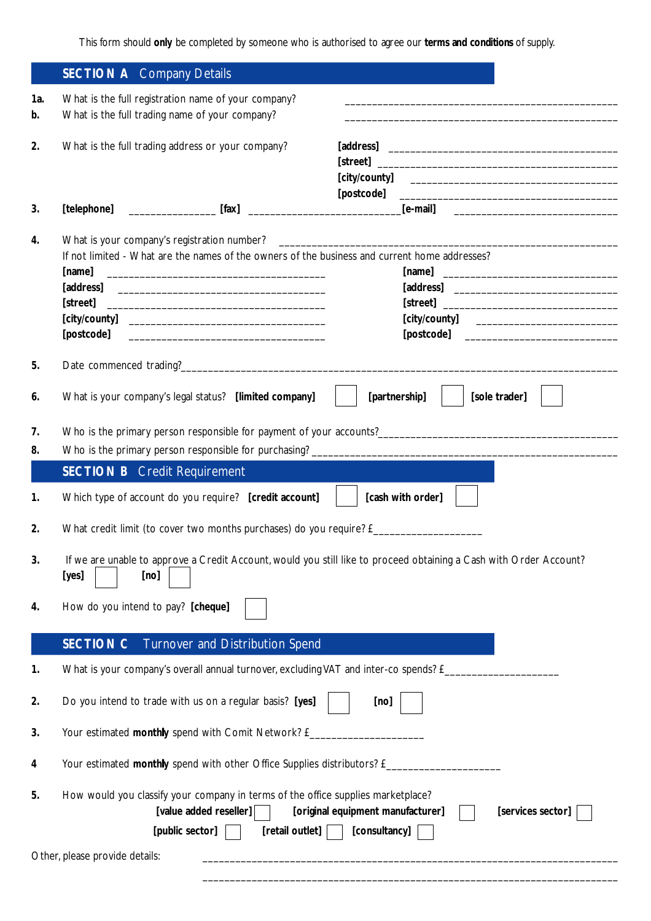This form should only be completed by someone who is authorised to agree our terms and conditions of supply.

|                     | <b>SECTION A</b> Company Details                                                                                                    |                 |                                   |                                                                                       |  |
|---------------------|-------------------------------------------------------------------------------------------------------------------------------------|-----------------|-----------------------------------|---------------------------------------------------------------------------------------|--|
| 1a.                 | What is the full registration name of your company?                                                                                 |                 |                                   |                                                                                       |  |
| b.                  | What is the full trading name of your company?                                                                                      |                 |                                   | and the state of the state of the state of the state of the state of the state of the |  |
| 2.                  | What is the full trading address or your company?                                                                                   |                 |                                   |                                                                                       |  |
|                     |                                                                                                                                     |                 |                                   |                                                                                       |  |
|                     |                                                                                                                                     |                 |                                   |                                                                                       |  |
|                     |                                                                                                                                     |                 |                                   |                                                                                       |  |
| 3.                  |                                                                                                                                     |                 |                                   |                                                                                       |  |
| 4.                  | What is your company's registration number?                                                                                         |                 |                                   |                                                                                       |  |
|                     | If not limited - What are the names of the owners of the business and current home addresses?                                       |                 |                                   |                                                                                       |  |
|                     | [name]                                                                                                                              |                 |                                   |                                                                                       |  |
|                     |                                                                                                                                     |                 |                                   |                                                                                       |  |
|                     |                                                                                                                                     |                 |                                   |                                                                                       |  |
|                     |                                                                                                                                     |                 |                                   |                                                                                       |  |
|                     |                                                                                                                                     |                 |                                   |                                                                                       |  |
| 5.                  |                                                                                                                                     |                 |                                   |                                                                                       |  |
| 6.                  | What is your company's legal status? [limited company]                                                                              |                 |                                   | [partnership]<br>[sole trader]                                                        |  |
| 7.                  |                                                                                                                                     |                 |                                   |                                                                                       |  |
| 8.                  |                                                                                                                                     |                 |                                   |                                                                                       |  |
|                     |                                                                                                                                     |                 |                                   |                                                                                       |  |
|                     | <b>SECTION B</b> Credit Requirement                                                                                                 |                 |                                   |                                                                                       |  |
| 1.                  | Which type of account do you require? [credit account]                                                                              |                 |                                   | [cash with order]                                                                     |  |
| 2.                  |                                                                                                                                     |                 |                                   |                                                                                       |  |
| 3.                  | If we are unable to approve a Credit Account, would you still like to proceed obtaining a Cash with Order Account?<br>[yes]<br>[no] |                 |                                   |                                                                                       |  |
| 4.                  | How do you intend to pay? [cheque]                                                                                                  |                 |                                   |                                                                                       |  |
|                     |                                                                                                                                     |                 |                                   |                                                                                       |  |
|                     | Turnover and Distribution Spend<br><b>SECTION C</b>                                                                                 |                 |                                   |                                                                                       |  |
| 1.                  | What is your company's overall annual turnover, excluding VAT and inter-co spends? £_                                               |                 |                                   |                                                                                       |  |
|                     | Do you intend to trade with us on a regular basis? [yes]                                                                            |                 |                                   |                                                                                       |  |
|                     |                                                                                                                                     |                 | [no]                              |                                                                                       |  |
|                     | Your estimated monthly spend with Comit Network? £____                                                                              |                 |                                   |                                                                                       |  |
|                     | Your estimated monthly spend with other Office Supplies distributors? £_                                                            |                 |                                   |                                                                                       |  |
| 2.<br>3.<br>4<br>5. | How would you classify your company in terms of the office supplies marketplace?<br>[value added reseller]                          |                 | [original equipment manufacturer] | [services sector]                                                                     |  |
|                     | [public sector]<br>Other, please provide details:                                                                                   | [retail outlet] | [consultancy]                     |                                                                                       |  |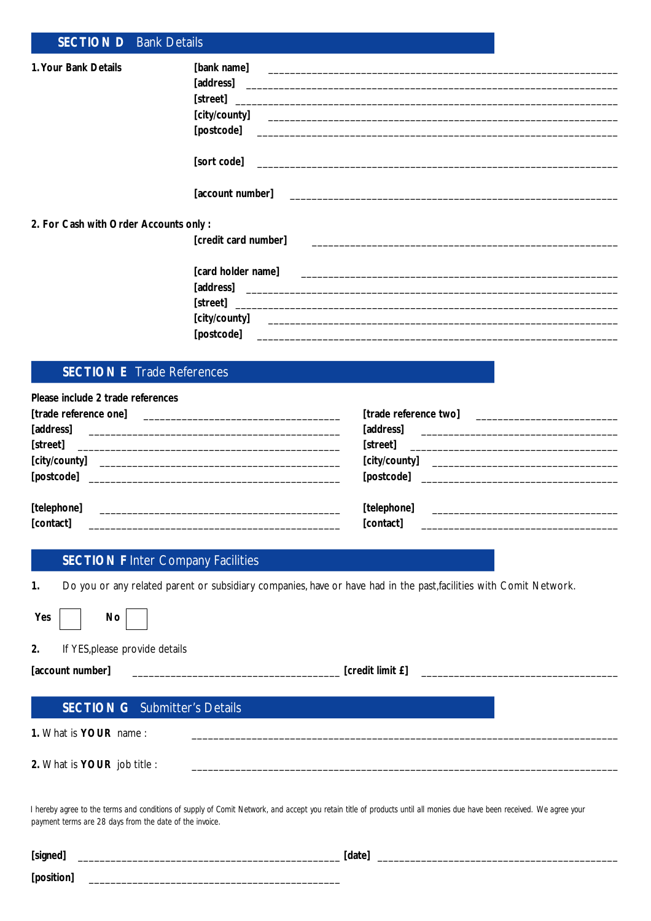| <b>SECTION D</b> Bank Details             |                                                                                                                      |
|-------------------------------------------|----------------------------------------------------------------------------------------------------------------------|
| 1. Your Bank Details                      |                                                                                                                      |
|                                           | [address] <b>Example 2018 Example 2018 Example 2018 Example 2018 Example 2018</b>                                    |
|                                           |                                                                                                                      |
|                                           |                                                                                                                      |
|                                           | [sort code]                                                                                                          |
|                                           |                                                                                                                      |
| 2. For Cash with Order Accounts only:     |                                                                                                                      |
|                                           | [credit card number]                                                                                                 |
|                                           |                                                                                                                      |
|                                           |                                                                                                                      |
|                                           |                                                                                                                      |
|                                           |                                                                                                                      |
|                                           |                                                                                                                      |
| <b>SECTION E</b> Trade References         |                                                                                                                      |
| Please include 2 trade references         |                                                                                                                      |
|                                           |                                                                                                                      |
|                                           |                                                                                                                      |
| [street]                                  | [street]                                                                                                             |
|                                           |                                                                                                                      |
|                                           |                                                                                                                      |
| [telephone]                               | [telephone]                                                                                                          |
| [contact]                                 | [contact]                                                                                                            |
| <b>SECTION F Inter Company Facilities</b> |                                                                                                                      |
| 1.                                        | Do you or any related parent or subsidiary companies, have or have had in the past, facilities with Comit Network.   |
| No<br>Yes                                 |                                                                                                                      |
| If YES, please provide details<br>2.      |                                                                                                                      |
| [account number]                          | [credit limit £]                                                                                                     |
|                                           |                                                                                                                      |
| <b>SECTION G</b> Submitter's Details      |                                                                                                                      |
| 1. What is YOUR name:                     |                                                                                                                      |
| 2. What is YOUR job title :               | <u> 1980 - Jan James James James James James James James James James James James James James James James James J</u> |
|                                           |                                                                                                                      |

*I hereby agree to the terms and conditions of supply of Comit Network, and accept you retain title of products until all monies due have been received. We agree your payment terms are 28 days from the date of the invoice.*

| <b>'signed</b> | <b>Judie</b> |
|----------------|--------------|
| . .            |              |
| [position]     | _______      |